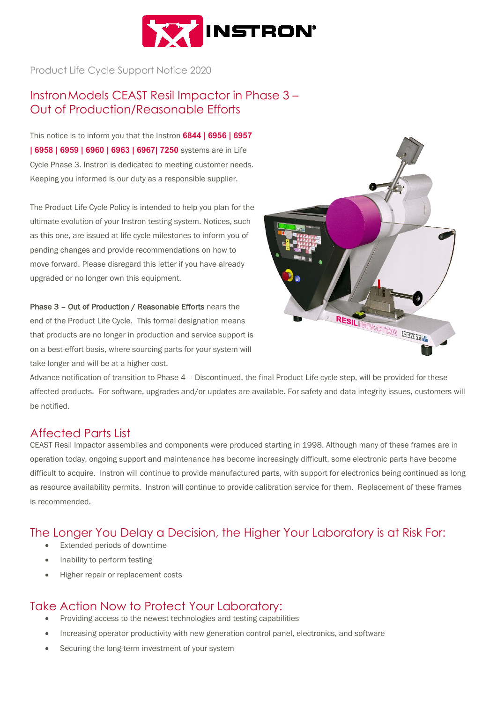

Product Life Cycle Support Notice 2020

## InstronModels CEAST Resil Impactor in Phase 3 – Out of Production/Reasonable Efforts

This notice is to inform you that the Instron **6844 | 6956 | 6957 | 6958 | 6959 | 6960 | 6963 | 6967| 7250** systems are in Life Cycle Phase 3. Instron is dedicated to meeting customer needs. Keeping you informed is our duty as a responsible supplier.

The Product Life Cycle Policy is intended to help you plan for the ultimate evolution of your Instron testing system. Notices, such as this one, are issued at life cycle milestones to inform you of pending changes and provide recommendations on how to move forward. Please disregard this letter if you have already upgraded or no longer own this equipment.

Phase 3 – Out of Production / Reasonable Efforts nears the end of the Product Life Cycle. This formal designation means that products are no longer in production and service support is on a best-effort basis, where sourcing parts for your system will take longer and will be at a higher cost.



Advance notification of transition to Phase 4 – Discontinued, the final Product Life cycle step, will be provided for these affected products. For software, upgrades and/or updates are available. For safety and data integrity issues, customers will be notified.

#### Affected Parts List

CEAST Resil Impactor assemblies and components were produced starting in 1998. Although many of these frames are in operation today, ongoing support and maintenance has become increasingly difficult, some electronic parts have become difficult to acquire. Instron will continue to provide manufactured parts, with support for electronics being continued as long as resource availability permits. Instron will continue to provide calibration service for them. Replacement of these frames is recommended.

### The Longer You Delay a Decision, the Higher Your Laboratory is at Risk For:

- Extended periods of downtime
- Inability to perform testing
- Higher repair or replacement costs

### Take Action Now to Protect Your Laboratory:

- Providing access to the newest technologies and testing capabilities
- Increasing operator productivity with new generation control panel, electronics, and software
- Securing the long-term investment of your system